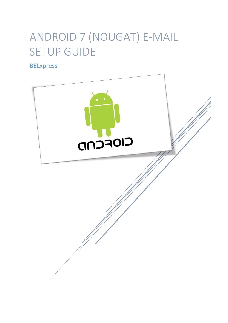# ANDROID 7 (NOUGAT) E-MAIL SETUP GUIDE

BELxpress

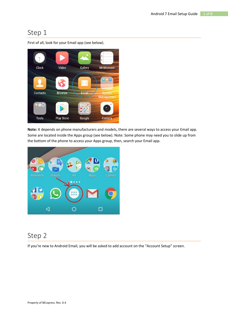

First of all, look for your Email app (see below).

**Note:** It depends on phone manufacturers and models, there are several ways to access your Email app. Some are located inside the Apps group (see below). Note: Some phone may need you to slide up from the bottom of the phone to access your Apps group, then, search your Email app.



# Step 2

If you're new to Android Email, you will be asked to add account on the "Account Setup" screen.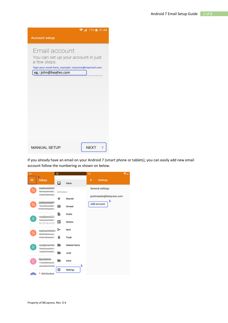|                                                     | ● 1 72%■ 21:44 |
|-----------------------------------------------------|----------------|
| <b>Account setup</b>                                |                |
| Email account                                       |                |
| You can set up your account in just<br>a few steps. |                |
| Type your email here, example: myname@myemail.com   |                |
| eg.: john@beatles.com                               |                |
|                                                     |                |
|                                                     |                |
|                                                     |                |
|                                                     |                |
|                                                     |                |
|                                                     |                |
|                                                     |                |
|                                                     |                |
|                                                     |                |
|                                                     |                |
|                                                     |                |
|                                                     |                |
|                                                     |                |
|                                                     |                |
| <b>MANUAL SETUP</b>                                 | <b>NEXT</b>    |

If you already have an email on your Android 7 (smart phone or tablets), you can easily add new email account follow the numbering as shown on below.

| ₽  |                                                            | ▭           |                      | ۰.<br>₽                        |
|----|------------------------------------------------------------|-------------|----------------------|--------------------------------|
| ≡  | 1.<br>Inbox                                                | ⊡           | Inbox                | ←<br><b>Settings</b>           |
| Ν. | ويعميد يميس<br>ne, <del>aliyên 100</del> ES<br>HOW OPRIGHT | All folders |                      | General settings               |
|    |                                                            | ÷           | Starred              | postmaster@belxpress.com<br>з. |
| N. | <u>.</u><br>pel nun xxns<br><b>Times, Ohoston</b> E        | ◛           | Unread               | Add account                    |
|    | pool@mail.2                                                | R           | Drafts               |                                |
| R  | P <del>oliavisimital</del> ici<br>Oct 30 06:10:26          | ⊠           | Outbox               |                                |
|    | mummu                                                      | ⋗           | Sent                 |                                |
| N. | <b>GING for off</b><br><b>USA Oheanic!</b>                 |             | Trash                |                                |
| R. | reet@mail-2-t<br>بطف فلمعارف منتمته                        |             | <b>Deleted Items</b> |                                |
|    | 0404444962                                                 |             | Junk                 |                                |
| Е  | RE-Mildeback                                               |             | sieve                |                                |
|    | <b>Jon Desempto</b>                                        | ✿           | 2.<br>Settings       |                                |
|    | Citi Mushan                                                |             |                      |                                |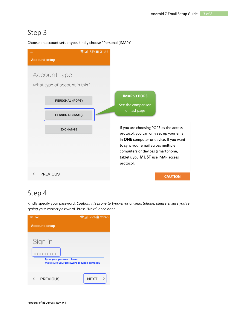

Choose an account setup type, kindly choose "Personal (IMAP)"

# Step 4

Kindly specify your password. *Caution: It's prone to typo-error on smartphone, please ensure you're typing your correct password.* Press "Next" once done.

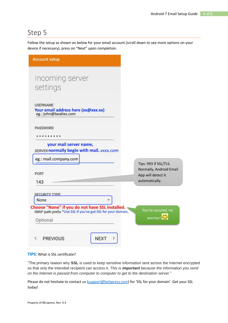Follow the setup as shown on below for your email account (scroll down to see more options on your device if necessary), press on "Next" upon completion.

| <b>Account setup</b>                                                            |                                                  |
|---------------------------------------------------------------------------------|--------------------------------------------------|
| Incoming server                                                                 |                                                  |
| settings                                                                        |                                                  |
| <b>USERNAME</b><br>Your email address here (xx@xxx.xx)<br>eg.: john@beatles.com |                                                  |
| <b>PASSWORD</b>                                                                 |                                                  |
| your mail server name,<br>SERVER normally begin with mail. xxxx.com             |                                                  |
|                                                                                 |                                                  |
| eg.: mail.company.com                                                           | Tips: 993 if SSL/TLS.<br>Normally, Android Email |
| <b>PORT</b><br>143                                                              | App will detect it<br>automatically.             |
| <b>SECURITY TYPE</b><br>None                                                    |                                                  |

#### **TIPS:** What is SSL certificate?

"The primary reason why **SSL** is used to keep sensitive information sent across the Internet encrypted so that only the intended recipient can access it. *This is important because the information you send on the Internet is passed from computer to computer to get to the destination server*."

Please do not hesitate to contact us [\(support@belxpress.com\)](mailto:support@belxpress.com) for 'SSL for your domain'. Get your SSL today!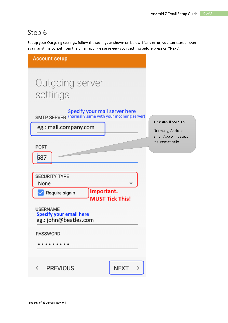Set up your Outgoing settings, follow the settings as shown on below. If any error, you can start all over again anytime by exit from the Email app. Please review your settings before press on "Next".

| <b>Account setup</b>                                                                   |                                            |
|----------------------------------------------------------------------------------------|--------------------------------------------|
| Outgoing server<br>settings                                                            |                                            |
| Specify your mail server here<br>SMTP SERVER (normally same with your incoming server) |                                            |
| eg.: mail.company.com                                                                  | Tips: 465 if SSL/TLS<br>Normally, Android  |
| <b>PORT</b>                                                                            | Email App will detect<br>it automatically. |
| 587                                                                                    |                                            |
| <b>SECURITY TYPE</b><br>None                                                           |                                            |
| Important.<br>Require signin<br><b>MUST Tick This!</b>                                 |                                            |
| <b>USERNAME</b><br><b>Specify your email here</b><br>eg.: john@beatles.com             |                                            |
| <b>PASSWORD</b>                                                                        |                                            |
|                                                                                        |                                            |
| <b>NEXT</b><br><b>PREVIOUS</b><br>$\overline{\left\langle \right\rangle }$<br>≻        |                                            |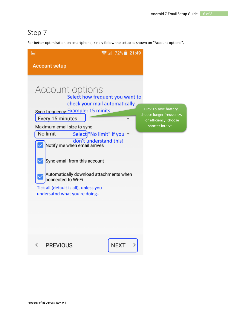For better optimization on smartphone, kindly follow the setup as shown on "Account options".

| $\overline{\phantom{a}}$                |                                                                                                                                                                                                                                                                                                                                                        | $\approx 72\%$ 21:49                                                                            |                                                                                                   |
|-----------------------------------------|--------------------------------------------------------------------------------------------------------------------------------------------------------------------------------------------------------------------------------------------------------------------------------------------------------------------------------------------------------|-------------------------------------------------------------------------------------------------|---------------------------------------------------------------------------------------------------|
|                                         | <b>Account setup</b>                                                                                                                                                                                                                                                                                                                                   |                                                                                                 |                                                                                                   |
|                                         | Account options<br>Sync frequency Example: 15 minits<br>Every 15 minutes<br>Maximum email size to sync<br>No limit<br>don't understand this!<br>Notify me when email arrives<br>Sync email from this account<br>Automatically download attachments when<br>connected to Wi-Fi<br>Tick all (default is all), unless you<br>undersatnd what you're doing | Select how frequent you want to<br>check your mail automatically.<br>Select "No limit" if you ▼ | TIPS: To save battery,<br>choose longer frequency.<br>For efficiency, choose<br>shorter interval. |
| $\overline{\left\langle \right\rangle}$ | <b>PREVIOUS</b>                                                                                                                                                                                                                                                                                                                                        | <b>NEXT</b>                                                                                     |                                                                                                   |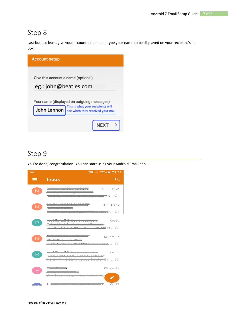Last but not least, give your account a name and type your name to be displayed on your recipient's inbox.



## Step 9

You're done, congratulation! You can start using your Android Email app.